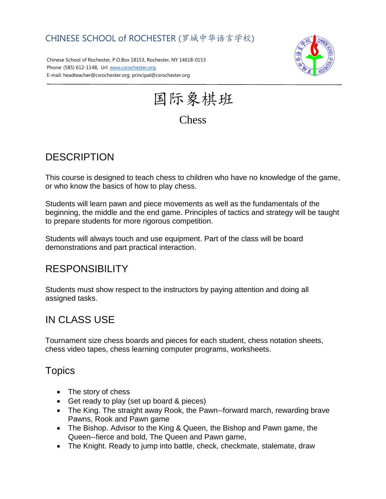### CHINESE SCHOOL of ROCHESTER (罗城中华语言学校)

Chinese School of Rochester, P.O.Box 18153, Rochester, NY 14618-0153 Phone: (585) 612-1148, Url[: www.csrochester.org](http://www.csrochester.org/) E-mail: headteacher@csrochester.org; principal@csrochester.org



国际象棋班

# **Chess**

# **DESCRIPTION**

This course is designed to teach chess to children who have no knowledge of the game, or who know the basics of how to play chess.

Students will learn pawn and piece movements as well as the fundamentals of the beginning, the middle and the end game. Principles of tactics and strategy will be taught to prepare students for more rigorous competition.

Students will always touch and use equipment. Part of the class will be board demonstrations and part practical interaction.

### RESPONSIBILITY

Students must show respect to the instructors by paying attention and doing all assigned tasks.

# IN CLASS USE

Tournament size chess boards and pieces for each student, chess notation sheets, chess video tapes, chess learning computer programs, worksheets.

#### **Topics**

- The story of chess
- Get ready to play (set up board & pieces)
- The King. The straight away Rook, the Pawn--forward march, rewarding brave Pawns, Rook and Pawn game
- The Bishop. Advisor to the King & Queen, the Bishop and Pawn game, the Queen--fierce and bold, The Queen and Pawn game,
- The Knight. Ready to jump into battle, check, checkmate, stalemate, draw